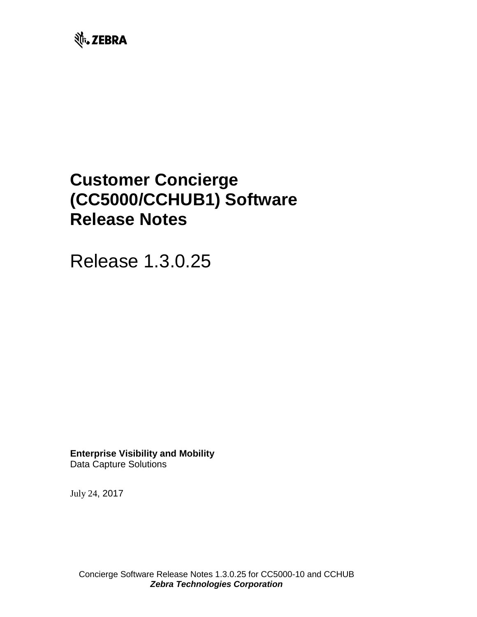

# **Customer Concierge (CC5000/CCHUB1) Software Release Notes**

Release 1.3.0.25

**Enterprise Visibility and Mobility** Data Capture Solutions

July 24, 2017

Concierge Software Release Notes 1.3.0.25 for CC5000-10 and CCHUB *Zebra Technologies Corporation*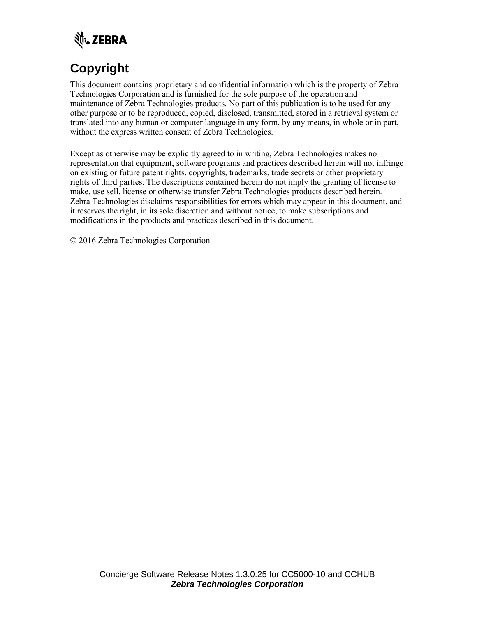

# **Copyright**

This document contains proprietary and confidential information which is the property of Zebra Technologies Corporation and is furnished for the sole purpose of the operation and maintenance of Zebra Technologies products. No part of this publication is to be used for any other purpose or to be reproduced, copied, disclosed, transmitted, stored in a retrieval system or translated into any human or computer language in any form, by any means, in whole or in part, without the express written consent of Zebra Technologies.

Except as otherwise may be explicitly agreed to in writing, Zebra Technologies makes no representation that equipment, software programs and practices described herein will not infringe on existing or future patent rights, copyrights, trademarks, trade secrets or other proprietary rights of third parties. The descriptions contained herein do not imply the granting of license to make, use sell, license or otherwise transfer Zebra Technologies products described herein. Zebra Technologies disclaims responsibilities for errors which may appear in this document, and it reserves the right, in its sole discretion and without notice, to make subscriptions and modifications in the products and practices described in this document.

© 2016 Zebra Technologies Corporation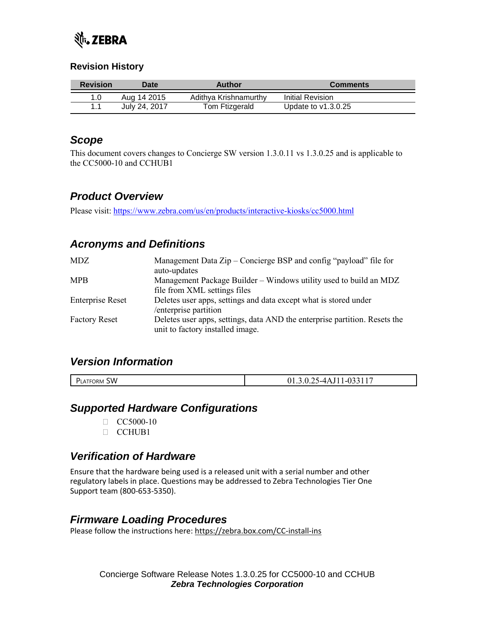

#### **Revision History**

| <b>Revision</b> | <b>Date</b>   | Author                | <b>Comments</b>       |
|-----------------|---------------|-----------------------|-----------------------|
|                 | Aug 14 2015   | Adithya Krishnamurthy | Initial Revision      |
|                 | July 24, 2017 | Tom Ftizgerald        | Update to $v1.3.0.25$ |

#### *Scope*

This document covers changes to Concierge SW version 1.3.0.11 vs 1.3.0.25 and is applicable to the CC5000-10 and CCHUB1

# *Product Overview*

Please visit:<https://www.zebra.com/us/en/products/interactive-kiosks/cc5000.html>

# *Acronyms and Definitions*

| <b>MDZ</b>              | Management Data Zip – Concierge BSP and config "payload" file for<br>auto-updates                              |
|-------------------------|----------------------------------------------------------------------------------------------------------------|
| <b>MPB</b>              | Management Package Builder – Windows utility used to build an MDZ<br>file from XML settings files              |
| <b>Enterprise Reset</b> | Deletes user apps, settings and data except what is stored under<br>/enterprise partition                      |
| <b>Factory Reset</b>    | Deletes user apps, settings, data AND the enterprise partition. Resets the<br>unit to factory installed image. |

#### *Version Information*

| ----<br>SW.<br>FORM<br>$\mathbf{v}$<br>LA I<br>___ | - -<br>. |
|----------------------------------------------------|----------|
|                                                    |          |

#### *Supported Hardware Configurations*

- $\Box$  CC5000-10
- CCHUB1

# *Verification of Hardware*

Ensure that the hardware being used is a released unit with a serial number and other regulatory labels in place. Questions may be addressed to Zebra Technologies Tier One Support team (800-653-5350).

#### *Firmware Loading Procedures*

Please follow the instructions here:<https://zebra.box.com/CC-install-ins>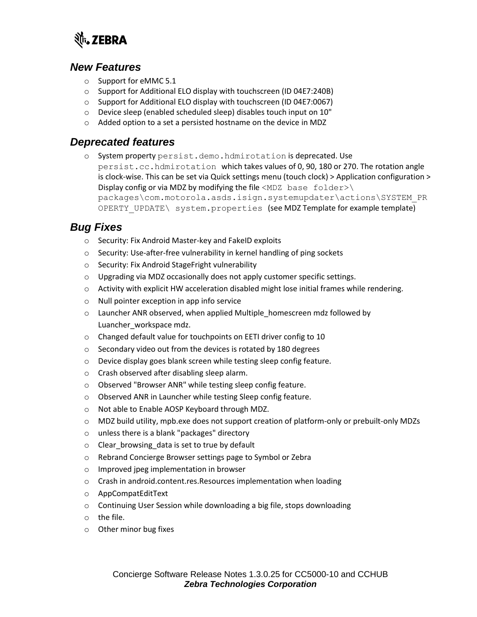

#### *New Features*

- o Support for eMMC 5.1
- o Support for Additional ELO display with touchscreen (ID 04E7:240B)
- o Support for Additional ELO display with touchscreen (ID 04E7:0067)
- o Device sleep (enabled scheduled sleep) disables touch input on 10"
- o Added option to a set a persisted hostname on the device in MDZ

#### *Deprecated features*

o System property persist.demo.hdmirotation is deprecated. Use persist.cc.hdmirotation which takes values of 0, 90, 180 or 270. The rotation angle is clock-wise. This can be set via Quick settings menu (touch clock) > Application configuration > Display config or via MDZ by modifying the file  $\langle MDZ \rangle$  base folder>\ packages\com.motorola.asds.isign.systemupdater\actions\SYSTEM\_PR OPERTY UPDATE\ system.properties (see MDZ Template for example template)

# *Bug Fixes*

- o Security: Fix Android Master-key and FakeID exploits
- o Security: Use-after-free vulnerability in kernel handling of ping sockets
- o Security: Fix Android StageFright vulnerability
- o Upgrading via MDZ occasionally does not apply customer specific settings.
- o Activity with explicit HW acceleration disabled might lose initial frames while rendering.
- o Null pointer exception in app info service
- o Launcher ANR observed, when applied Multiple\_homescreen mdz followed by Luancher\_workspace mdz.
- o Changed default value for touchpoints on EETI driver config to 10
- o Secondary video out from the devices is rotated by 180 degrees
- o Device display goes blank screen while testing sleep config feature.
- o Crash observed after disabling sleep alarm.
- o Observed "Browser ANR" while testing sleep config feature.
- o Observed ANR in Launcher while testing Sleep config feature.
- o Not able to Enable AOSP Keyboard through MDZ.
- $\circ$  MDZ build utility, mpb.exe does not support creation of platform-only or prebuilt-only MDZs
- o unless there is a blank "packages" directory
- o Clear\_browsing\_data is set to true by default
- o Rebrand Concierge Browser settings page to Symbol or Zebra
- o Improved jpeg implementation in browser
- o Crash in android.content.res.Resources implementation when loading
- o AppCompatEditText
- o Continuing User Session while downloading a big file, stops downloading
- o the file.
- o Other minor bug fixes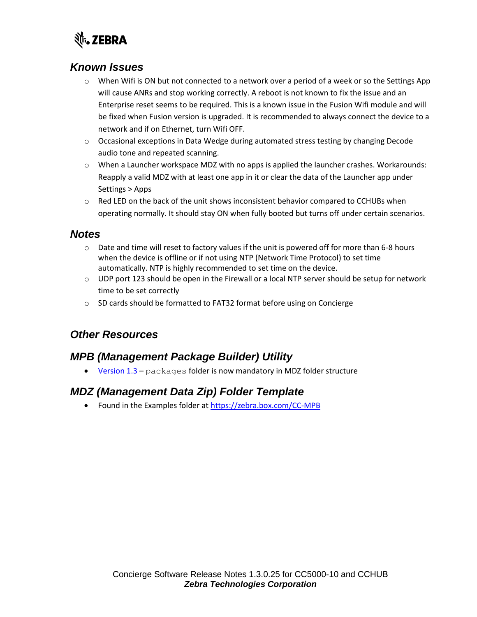

# *Known Issues*

- o When Wifi is ON but not connected to a network over a period of a week or so the Settings App will cause ANRs and stop working correctly. A reboot is not known to fix the issue and an Enterprise reset seems to be required. This is a known issue in the Fusion Wifi module and will be fixed when Fusion version is upgraded. It is recommended to always connect the device to a network and if on Ethernet, turn Wifi OFF.
- o Occasional exceptions in Data Wedge during automated stress testing by changing Decode audio tone and repeated scanning.
- o When a Launcher workspace MDZ with no apps is applied the launcher crashes. Workarounds: Reapply a valid MDZ with at least one app in it or clear the data of the Launcher app under Settings > Apps
- $\circ$  Red LED on the back of the unit shows inconsistent behavior compared to CCHUBs when operating normally. It should stay ON when fully booted but turns off under certain scenarios.

#### *Notes*

- $\circ$  Date and time will reset to factory values if the unit is powered off for more than 6-8 hours when the device is offline or if not using NTP (Network Time Protocol) to set time automatically. NTP is highly recommended to set time on the device.
- $\circ$  UDP port 123 should be open in the Firewall or a local NTP server should be setup for network time to be set correctly
- o SD cards should be formatted to FAT32 format before using on Concierge

# *Other Resources*

#### *MPB (Management Package Builder) Utility*

• [Version 1.3](https://zebra.box.com/CC-MPB) - packages folder is now mandatory in MDZ folder structure

# *MDZ (Management Data Zip) Folder Template*

• Found in the Examples folder at<https://zebra.box.com/CC-MPB>